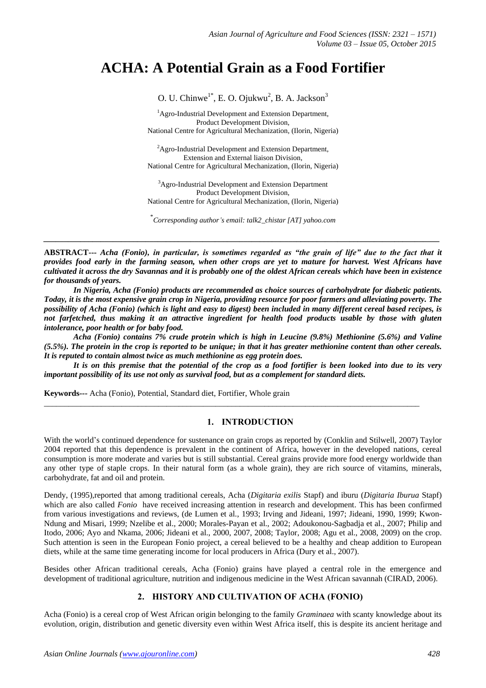# **ACHA: A Potential Grain as a Food Fortifier**

O. U. Chinwe<sup>1\*</sup>, E. O. Ojukwu<sup>2</sup>, B. A. Jackson<sup>3</sup>

<sup>1</sup>Agro-Industrial Development and Extension Department, Product Development Division, National Centre for Agricultural Mechanization, (Ilorin, Nigeria)

 ${}^{2}$ Agro-Industrial Development and Extension Department, Extension and External liaison Division, National Centre for Agricultural Mechanization, (Ilorin, Nigeria)

<sup>3</sup>Agro-Industrial Development and Extension Department Product Development Division, National Centre for Agricultural Mechanization, (Ilorin, Nigeria)

\* *Corresponding author's email: talk2\_chistar [AT] yahoo.com*

*\_\_\_\_\_\_\_\_\_\_\_\_\_\_\_\_\_\_\_\_\_\_\_\_\_\_\_\_\_\_\_\_\_\_\_\_\_\_\_\_\_\_\_\_\_\_\_\_\_\_\_\_\_\_\_\_\_\_\_\_\_\_\_\_\_\_\_\_\_\_\_\_\_\_\_\_\_\_\_\_\_\_\_\_\_\_\_\_\_\_\_\_\_\_\_\_\_*

**ABSTRACT---** *Acha (Fonio), in particular, is sometimes regarded as "the grain of life" due to the fact that it provides food early in the farming season, when other crops are yet to mature for harvest. West Africans have cultivated it across the dry Savannas and it is probably one of the oldest African cereals which have been in existence for thousands of years.* 

*In Nigeria, Acha (Fonio) products are recommended as choice sources of carbohydrate for diabetic patients. Today, it is the most expensive grain crop in Nigeria, providing resource for poor farmers and alleviating poverty. The possibility of Acha (Fonio) (which is light and easy to digest) been included in many different cereal based recipes, is not farfetched, thus making it an attractive ingredient for health food products usable by those with gluten intolerance, poor health or for baby food.* 

*Acha (Fonio) contains 7% crude protein which is high in Leucine (9.8%) Methionine (5.6%) and Valine (5.5%). The protein in the crop is reported to be unique; in that it has greater methionine content than other cereals. It is reputed to contain almost twice as much methionine as egg protein does.* 

*It is on this premise that the potential of the crop as a food fortifier is been looked into due to its very important possibility of its use not only as survival food, but as a complement for standard diets.*

\_\_\_\_\_\_\_\_\_\_\_\_\_\_\_\_\_\_\_\_\_\_\_\_\_\_\_\_\_\_\_\_\_\_\_\_\_\_\_\_\_\_\_\_\_\_\_\_\_\_\_\_\_\_\_\_\_\_\_\_\_\_\_\_\_\_\_\_\_\_\_\_\_\_\_\_\_\_\_\_\_\_\_\_\_\_\_\_\_\_\_\_

**Keywords***---* Acha (Fonio), Potential, Standard diet, Fortifier, Whole grain

#### **1. INTRODUCTION**

With the world's continued dependence for sustenance on grain crops as reported by (Conklin and Stilwell, [2007\)](http://www.ncbi.nlm.nih.gov/pmc/articles/PMC3551164/#CR22) Taylor [2004](http://www.ncbi.nlm.nih.gov/pmc/articles/PMC3551164/#CR84) reported that this dependence is prevalent in the continent of Africa, however in the developed nations, cereal consumption is more moderate and varies but is still substantial. Cereal grains provide more food energy worldwide than any other type of staple crops. In their natural form (as a whole grain), they are rich source of vitamins, minerals, carbohydrate, fat and oil and protein.

Dendy, [\(1995\)](http://www.ncbi.nlm.nih.gov/pmc/articles/PMC3551164/#CR25)*,*reported that among traditional cereals, Acha (*Digitaria exilis* Stapf) and iburu (*Digitaria Iburua* Stapf) which are also called *Fonio* have received increasing attention in research and development. This has been confirmed from various investigations and reviews, (de Lumen et al., [1993;](http://www.ncbi.nlm.nih.gov/pmc/articles/PMC3551164/#CR24) Irving and Jideani, [1997;](http://www.ncbi.nlm.nih.gov/pmc/articles/PMC3551164/#CR37) Jideani, [1990,](http://www.ncbi.nlm.nih.gov/pmc/articles/PMC3551164/#CR39) [1999;](http://www.ncbi.nlm.nih.gov/pmc/articles/PMC3551164/#CR41) Kwon-Ndung and Misari, [1999;](http://www.ncbi.nlm.nih.gov/pmc/articles/PMC3551164/#CR62) Nzelibe et al., [2000;](http://www.ncbi.nlm.nih.gov/pmc/articles/PMC3551164/#CR70) Morales-Payan et al., [2002;](http://www.ncbi.nlm.nih.gov/pmc/articles/PMC3551164/#CR67) Adoukonou-Sagbadja et al., [2007](http://www.ncbi.nlm.nih.gov/pmc/articles/PMC3551164/#CR1); Philip and Itodo, [2006;](http://www.ncbi.nlm.nih.gov/pmc/articles/PMC3551164/#CR74) Ayo and Nkama, [2006;](http://www.ncbi.nlm.nih.gov/pmc/articles/PMC3551164/#CR14) Jideani et al., [2000,](http://www.ncbi.nlm.nih.gov/pmc/articles/PMC3551164/#CR49) [2007,](http://www.ncbi.nlm.nih.gov/pmc/articles/PMC3551164/#CR50) [2008;](http://www.ncbi.nlm.nih.gov/pmc/articles/PMC3551164/#CR51) Taylor, [2008;](http://www.ncbi.nlm.nih.gov/pmc/articles/PMC3551164/#CR85) Agu et al., 2008, [2009\)](http://www.ncbi.nlm.nih.gov/pmc/articles/PMC3551164/#CR7) on the crop. Such attention is seen in the European Fonio project, a cereal believed to be a healthy and cheap addition to European diets, while at the same time generating income for local producers in Africa (Dury et al., [2007\)](http://www.ncbi.nlm.nih.gov/pmc/articles/PMC3551164/#CR26).

Besides other African traditional cereals, Acha (Fonio) grains have played a central role in the emergence and development of traditional agriculture, nutrition and indigenous medicine in the West African savannah (CIRAD[, 2006\)](http://www.ncbi.nlm.nih.gov/pmc/articles/PMC3551164/#CR20).

## **2. HISTORY AND CULTIVATION OF ACHA (FONIO)**

Acha (Fonio) is a cereal crop of West African origin belonging to the family *Graminaea* with scanty knowledge about its evolution, origin, distribution and genetic diversity even within West Africa itself, this is despite its ancient heritage and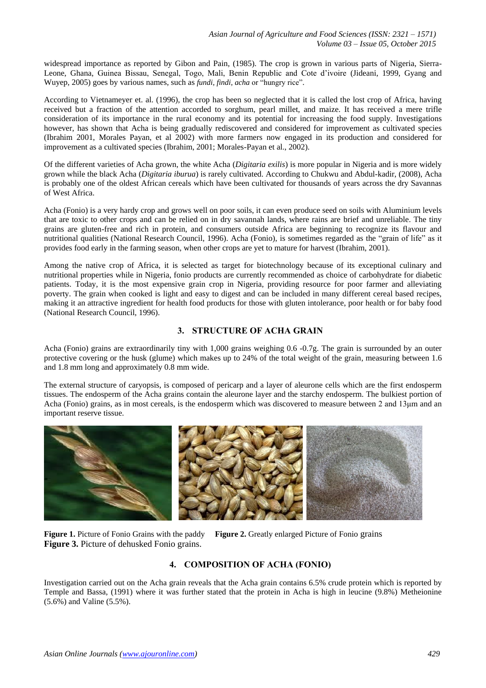widespread importance as reported by Gibon and Pain, (1985). The crop is grown in various parts of Nigeria, Sierra-Leone, Ghana, Guinea Bissau, Senegal, Togo, Mali, Benin Republic and Cote d'ivoire (Jideani, 1999, Gyang and Wuyep, 2005) goes by various names, such as *fundi*, *findi, acha* or "hungry rice".

According to Vietnameyer et. al. (1996), the crop has been so neglected that it is called the lost crop of Africa, having received but a fraction of the attention accorded to sorghum, pearl millet, and maize. It has received a mere trifle consideration of its importance in the rural economy and its potential for increasing the food supply. Investigations however, has shown that Acha is being gradually rediscovered and considered for improvement as cultivated species (Ibrahim 2001, Morales Payan, et al 2002) with more farmers now engaged in its production and considered for improvement as a cultivated species (Ibrahim, 2001; Morales-Payan et al., 2002).

Of the different varieties of Acha grown, the white Acha (*Digitaria exilis*) is more popular in Nigeria and is more widely grown while the black Acha (*Digitaria iburua*) is rarely cultivated. According to Chukwu and Abdul-kadir, (2008), Acha is probably one of the oldest African cereals which have been cultivated for thousands of years across the dry Savannas of West Africa.

Acha (Fonio) is a very hardy crop and grows well on poor soils, it can even produce seed on soils with Aluminium levels that are toxic to other crops and can be relied on in dry savannah lands, where rains are brief and unreliable. The tiny grains are gluten-free and rich in protein, and consumers outside Africa are beginning to recognize its flavour and nutritional qualities (National Research Council, 1996). Acha (Fonio), is sometimes regarded as the "grain of life" as it provides food early in the farming season, when other crops are yet to mature for harvest (Ibrahim, 2001).

Among the native crop of Africa, it is selected as target for biotechnology because of its exceptional culinary and nutritional properties while in Nigeria, fonio products are currently recommended as choice of carbohydrate for diabetic patients. Today, it is the most expensive grain crop in Nigeria, providing resource for poor farmer and alleviating poverty. The grain when cooked is light and easy to digest and can be included in many different cereal based recipes, making it an attractive ingredient for health food products for those with gluten intolerance, poor health or for baby food (National Research Council, 1996).

# **3. STRUCTURE OF ACHA GRAIN**

Acha (Fonio) grains are extraordinarily tiny with 1,000 grains weighing 0.6 -0.7g. The grain is surrounded by an outer protective covering or the husk (glume) which makes up to 24% of the total weight of the grain, measuring between 1.6 and 1.8 mm long and approximately 0.8 mm wide.

The external structure of caryopsis, is composed of pericarp and a layer of aleurone cells which are the first endosperm tissues. The endosperm of the Acha grains contain the aleurone layer and the starchy endosperm. The bulkiest portion of Acha (Fonio) grains, as in most cereals, is the endosperm which was discovered to measure between 2 and 13μm and an important reserve tissue.



**Figure 1.** Picture of Fonio Grains with the paddy **Figure 2.** Greatly enlarged Picture of Fonio grains **Figure 3.** Picture of dehusked Fonio grains.

## **4. COMPOSITION OF ACHA (FONIO)**

Investigation carried out on the Acha grain reveals that the Acha grain contains 6.5% crude protein which is reported by Temple and Bassa, (1991) where it was further stated that the protein in Acha is high in leucine (9.8%) Metheionine (5.6%) and Valine (5.5%).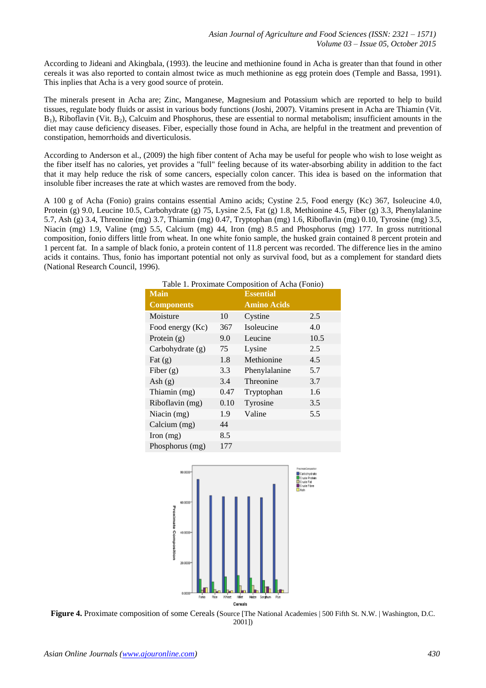According to Jideani and Akingbala, (1993). the leucine and methionine found in Acha is greater than that found in other cereals it was also reported to contain almost twice as much methionine as egg protein does (Temple and Bassa, 1991). This inplies that Acha is a very good source of protein.

The minerals present in Acha are; Zinc, Manganese, Magnesium and Potassium which are reported to help to build tissues, regulate body fluids or assist in various body functions (Joshi, 2007). Vitamins present in Acha are Thiamin (Vit.  $B_1$ ), Riboflavin (Vit.  $B_2$ ), Calcuim and Phosphorus, these are essential to normal metabolism; insufficient amounts in the diet may cause deficiency diseases. Fiber, especially those found in Acha, are helpful in the treatment and prevention of constipation, hemorrhoids and diverticulosis.

According to Anderson et al., (2009) the high fiber content of Acha may be useful for people who wish to lose weight as the fiber itself has no calories, yet provides a "full" feeling because of its water-absorbing ability in addition to the fact that it may help reduce the risk of some cancers, especially colon cancer. This idea is based on the information that insoluble fiber increases the rate at which wastes are removed from the body.

A 100 g of Acha (Fonio) grains contains essential Amino acids; Cystine 2.5, Food energy (Kc) 367, Isoleucine 4.0, Protein (g) 9.0, Leucine 10.5, Carbohydrate (g) 75, Lysine 2.5, Fat (g) 1.8, Methionine 4.5, Fiber (g) 3.3, Phenylalanine 5.7, Ash (g) 3.4, Threonine (mg) 3.7, Thiamin (mg) 0.47, Tryptophan (mg) 1.6, Riboflavin (mg) 0.10, Tyrosine (mg) 3.5, Niacin (mg) 1.9, Valine (mg) 5.5, Calcium (mg) 44, Iron (mg) 8.5 and Phosphorus (mg) 177. In gross nutritional composition, fonio differs little from wheat. In one white fonio sample, the husked grain contained 8 percent protein and 1 percent fat. In a sample of black fonio, a protein content of 11.8 percent was recorded. The difference lies in the amino acids it contains. Thus, fonio has important potential not only as survival food, but as a complement for standard diets (National Research Council, 1996).

| <b>Main</b>        |      | <b>Essential</b>   |      |
|--------------------|------|--------------------|------|
| <b>Components</b>  |      | <b>Amino Acids</b> |      |
| Moisture           | 10   | Cystine            | 2.5  |
| Food energy (Kc)   | 367  | Isoleucine         | 4.0  |
| Protein $(g)$      | 9.0  | Leucine            | 10.5 |
| Carbohydrate $(g)$ | 75   | Lysine             | 2.5  |
| Fat $(g)$          | 1.8  | Methionine         | 4.5  |
| Fiber $(g)$        | 3.3  | Phenylalanine      | 5.7  |
| Ash $(g)$          | 3.4  | Threonine          | 3.7  |
| Thiamin (mg)       | 0.47 | Tryptophan         | 1.6  |
| Riboflavin (mg)    | 0.10 | Tyrosine           | 3.5  |
| Niacin $(mg)$      | 1.9  | Valine             | 5.5  |
| Calcium (mg)       | 44   |                    |      |
| Iron $(mg)$        | 8.5  |                    |      |
| Phosphorus (mg)    | 177  |                    |      |

| Table 1. Proximate Composition of Acha (Fonio) |  |  |  |
|------------------------------------------------|--|--|--|
|                                                |  |  |  |



**Figure 4.** Proximate composition of some Cereals (Source [The National Academies | 500 Fifth St. N.W. | Washington, D.C. 2001])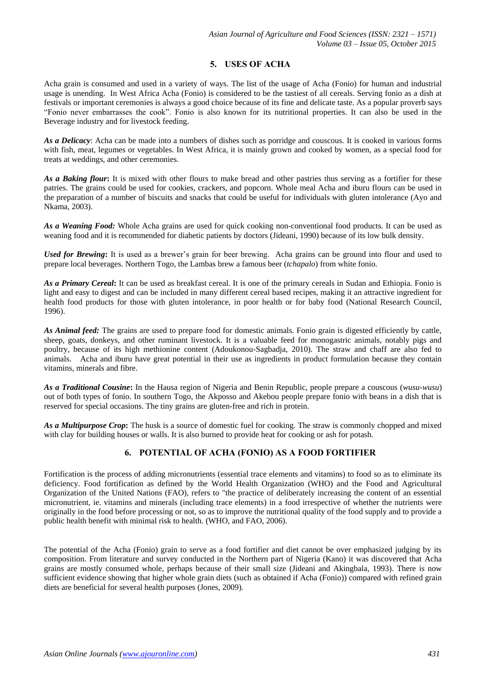# **5. USES OF ACHA**

Acha grain is consumed and used in a variety of ways. The list of the usage of Acha (Fonio) for human and industrial usage is unending. In West Africa Acha (Fonio) is considered to be the tastiest of all cereals. Serving fonio as a dish at festivals or important ceremonies is always a good choice because of its fine and delicate taste. As a popular proverb says "Fonio never embarrasses the cook". Fonio is also known for its nutritional properties. It can also be used in the Beverage industry and for livestock feeding.

*As a Delicacy*: Acha can be made into a numbers of dishes such as porridge and couscous. It is cooked in various forms with fish, meat, legumes or vegetables. In West Africa, it is mainly grown and cooked by women, as a special food for treats at weddings, and other ceremonies.

*As a Baking flour***:** It is mixed with other flours to make bread and other pastries thus serving as a fortifier for these patries. The grains could be used for cookies, crackers, and popcorn. Whole meal Acha and iburu flours can be used in the preparation of a number of biscuits and snacks that could be useful for individuals with gluten intolerance (Ayo and Nkama, [2003\)](http://www.ncbi.nlm.nih.gov/pmc/articles/PMC3551164/#CR12).

*As a Weaning Food:* Whole Acha grains are used for quick cooking non-conventional food products. It can be used as weaning food and it is recommended for diabetic patients by doctors (Jideani, 1990) because of its low bulk density.

*Used for Brewing***:** It is used as a brewer's grain for beer brewing. Acha grains can be ground into flour and used to prepare local beverages. Northern Togo, the Lambas brew a famous beer (*tchapalo*) from white fonio.

*As a Primary Cereal***:** It can be used as breakfast cereal. It is one of the primary cereals in Sudan and Ethiopia. Fonio is light and easy to digest and can be included in many different cereal based recipes, making it an attractive ingredient for health food products for those with gluten intolerance, in poor health or for baby food (National Research Council, 1996).

*As Animal feed:* The grains are used to prepare food for domestic animals. Fonio grain is digested efficiently by cattle, sheep, goats, donkeys, and other ruminant livestock. It is a valuable feed for monogastric animals, notably pigs and poultry, because of its high methionine content (Adoukonou-Sagbadja, 2010). The straw and chaff are also fed to animals. Acha and iburu have great potential in their use as ingredients in product formulation because they contain vitamins, minerals and fibre.

*As a Traditional Cousine***:** In the Hausa region of Nigeria and Benin Republic, people prepare a couscous (*wusu-wusu*) out of both types of fonio. In southern Togo, the Akposso and Akebou people prepare fonio with beans in a dish that is reserved for special occasions. The tiny grains are gluten-free and rich in protein.

*As a Multipurpose Crop***:** The husk is a source of domestic fuel for cooking. The straw is commonly chopped and mixed with clay for building houses or walls. It is also burned to provide heat for cooking or ash for potash.

# **6. POTENTIAL OF ACHA (FONIO) AS A FOOD FORTIFIER**

Fortification is the process of adding micronutrients (essential trace elements and vitamins) to food so as to eliminate its deficiency. Food fortification as defined by the World Health Organization (WHO) and the Food and Agricultural Organization of the United Nations (FAO), refers to "the practice of deliberately increasing the content of an essential micronutrient, ie. vitamins and minerals (including trace elements) in a food irrespective of whether the nutrients were originally in the food before processing or not, so as to improve the nutritional quality of the food supply and to provide a public health benefit with minimal risk to health. (WHO, and FAO, 2006).

The potential of the Acha (Fonio) grain to serve as a food fortifier and diet cannot be over emphasized judging by its composition. From literature and survey conducted in the Northern part of Nigeria (Kano) it was discovered that Acha grains are mostly consumed whole, perhaps because of their small size (Jideani and Akingbala, [1993\)](http://www.ncbi.nlm.nih.gov/pmc/articles/PMC3551164/#CR42). There is now sufficient evidence showing that higher whole grain diets (such as obtained if Acha (Fonio)) compared with refined grain diets are beneficial for several health purposes (Jones[, 2009\)](http://www.ncbi.nlm.nih.gov/pmc/articles/PMC3551164/#CR52).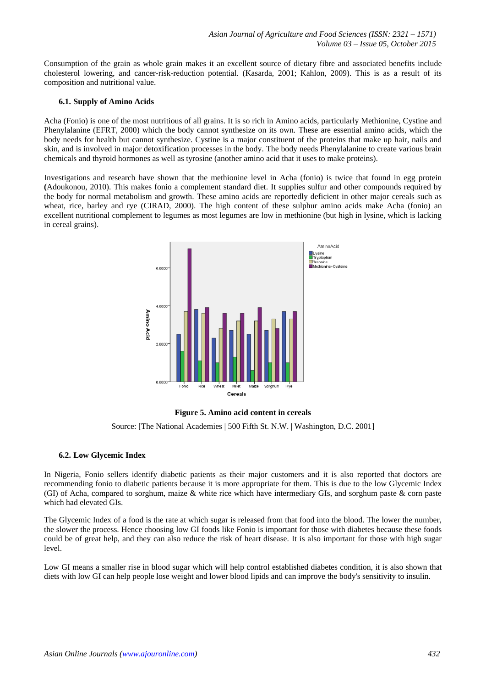Consumption of the grain as whole grain makes it an excellent source of dietary fibre and associated benefits include cholesterol lowering, and cancer-risk-reduction potential. (Kasarda, [2001;](http://www.ncbi.nlm.nih.gov/pmc/articles/PMC3551164/#CR57) Kahlon, [2009\)](http://www.ncbi.nlm.nih.gov/pmc/articles/PMC3551164/#CR55). This is as a result of its composition and nutritional value.

#### **6.1. Supply of Amino Acids**

Acha (Fonio) is one of the most nutritious of all grains. It is so rich in Amino acids, particularly Methionine, Cystine and Phenylalanine (EFRT, 2000) which the body cannot synthesize on its own. These are essential amino acids, which the body needs for health but cannot synthesize. Cystine is a major constituent of the proteins that make up hair, nails and skin, and is involved in major detoxification processes in the body. The body needs Phenylalanine to create various brain chemicals and thyroid hormones as well as tyrosine (another amino acid that it uses to make proteins).

Investigations and research have shown that the methionine level in Acha (fonio) is twice that found in egg protein **(**Adoukonou, 2010). This makes fonio a complement standard diet. It supplies sulfur and other compounds required by the body for normal metabolism and growth. These amino acids are reportedly deficient in other major cereals such as wheat, rice, barley and rye (CIRAD, 2000). The high content of these sulphur amino acids make Acha (fonio) an excellent nutritional complement to legumes as most legumes are low in methionine (but high in lysine, which is lacking in cereal grains).



#### **Figure 5. Amino acid content in cereals**

Source: [The National Academies | 500 Fifth St. N.W. | Washington, D.C. 2001]

#### **6.2. Low Glycemic Index**

In Nigeria, Fonio sellers identify diabetic patients as their major customers and it is also reported that doctors are recommending fonio to diabetic patients because it is more appropriate for them. This is due to the low Glycemic Index (GI) of Acha, compared to sorghum, maize & white rice which have intermediary GIs, and sorghum paste & corn paste which had elevated GIs.

The Glycemic Index of a food is the rate at which sugar is released from that food into the blood. The lower the number, the slower the process. Hence choosing low GI foods like Fonio is important for those with diabetes because these foods could be of great help, and they can also reduce the risk of heart disease. It is also important for those with high sugar level.

Low GI means a smaller rise in blood sugar which will help control established diabetes condition, it is also shown that diets with low GI can help people lose weight and lower blood lipids and can improve the body's sensitivity to insulin.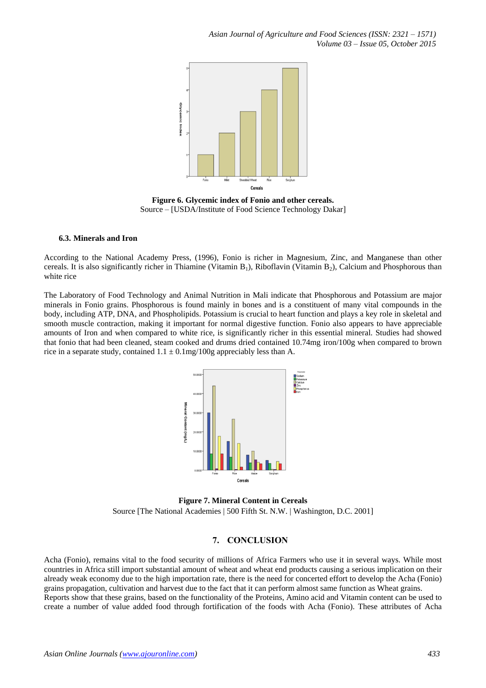

**Figure 6. Glycemic index of Fonio and other cereals.** Source – [USDA/Institute of Food Science Technology Dakar]

#### **6.3. Minerals and Iron**

According to the National Academy Press, (1996), Fonio is richer in Magnesium, Zinc, and Manganese than other cereals. It is also significantly richer in Thiamine (Vitamin  $B_1$ ), Riboflavin (Vitamin  $B_2$ ), Calcium and Phosphorous than white rice

The Laboratory of Food Technology and Animal Nutrition in Mali indicate that Phosphorous and Potassium are major minerals in Fonio grains. Phosphorous is found mainly in bones and is a constituent of many vital compounds in the body, including ATP, DNA, and Phospholipids. Potassium is crucial to heart function and plays a key role in skeletal and smooth muscle contraction, making it important for normal digestive function. Fonio also appears to have appreciable amounts of Iron and when compared to white rice, is significantly richer in this essential mineral. Studies had showed that fonio that had been cleaned, steam cooked and drums dried contained 10.74mg iron/100g when compared to brown rice in a separate study, contained  $1.1 \pm 0.1$ mg/100g appreciably less than A.



**Figure 7. Mineral Content in Cereals** Source [The National Academies | 500 Fifth St. N.W. | Washington, D.C. 2001]

## **7. CONCLUSION**

Acha (Fonio), remains vital to the food security of millions of Africa Farmers who use it in several ways. While most countries in Africa still import substantial amount of wheat and wheat end products causing a serious implication on their already weak economy due to the high importation rate, there is the need for concerted effort to develop the Acha (Fonio) grains propagation, cultivation and harvest due to the fact that it can perform almost same function as Wheat grains. Reports show that these grains, based on the functionality of the Proteins, Amino acid and Vitamin content can be used to create a number of value added food through fortification of the foods with Acha (Fonio). These attributes of Acha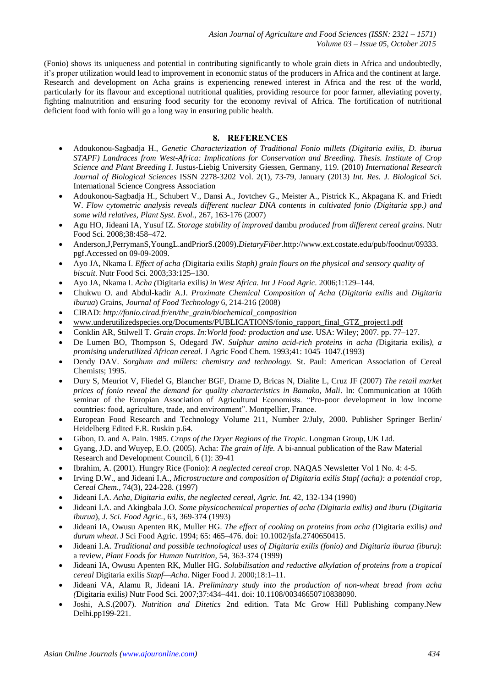(Fonio) shows its uniqueness and potential in contributing significantly to whole grain diets in Africa and undoubtedly, it's proper utilization would lead to improvement in economic status of the producers in Africa and the continent at large. Research and development on Acha grains is experiencing renewed interest in Africa and the rest of the world, particularly for its flavour and exceptional nutritional qualities, providing resource for poor farmer, alleviating poverty, fighting malnutrition and ensuring food security for the economy revival of Africa. The fortification of nutritional deficient food with fonio will go a long way in ensuring public health.

## **8. REFERENCES**

- Adoukonou-Sagbadja H., *Genetic Characterization of Traditional Fonio millets (Digitaria exilis, D. iburua STAPF) Landraces from West-Africa: Implications for Conservation and Breeding. Thesis. Institute of Crop Science and Plant Breeding I*. Justus-Liebig University Giessen, Germany, 119. (2010) *International Research Journal of Biological Sciences* ISSN 2278-3202 Vol. 2(1), 73-79, January (2013) *Int. Res. J. Biological Sci.* International Science Congress Association
- Adoukonou-Sagbadja H., Schubert V., Dansi A., Jovtchev G., Meister A., Pistrick K., Akpagana K. and Friedt W. *Flow cytometric analysis reveals different nuclear DNA contents in cultivated fonio (Digitaria spp.) and some wild relatives, Plant Syst. Evol.,* 267, 163-176 (2007)
- Agu HO, Jideani IA, Yusuf IZ. *Storage stability of improved* dambu *produced from different cereal grains*. Nutr Food Sci. 2008;38:458–472.
- Anderson,J,PerrymanS,YoungL.andPriorS.(2009).*DietaryFiber*.http://www.ext.costate.edu/pub/foodnut/09333. pgf.Accessed on 09-09-2009.
- Ayo JA, Nkama I. *Effect of acha (*Digitaria exilis *Staph) grain flours on the physical and sensory quality of biscuit*. Nutr Food Sci. 2003;33:125–130.
- Ayo JA, Nkama I. *Acha (*Digitaria exilis*) in West Africa. Int J Food Agric.* 2006;1:129–144.
- Chukwu O. and Abdul-kadir A.J. *Proximate Chemical Composition of Acha* (*Digitaria exilis* and *Digitaria iburua*) Grains, *Journal of Food Technology* 6, 214-216 (2008)
- CIRAD: *http://fonio.cirad.fr/en/the\_grain/biochemical\_composition*
- [www.underutilizedspecies.org/Documents/PUBLICATIONS/fonio\\_rapport\\_final\\_GTZ\\_project1.pdf](http://www.underutilizedspecies.org/Documents/PUBLICATIONS/fonio_rapport_final_GTZ_project1.pdf)
- Conklin AR, Stilwell T. *Grain crops. In:World food: production and use.* USA: Wiley; 2007. pp. 77–127.
- De Lumen BO, Thompson S, Odegard JW. *Sulphur amino acid-rich proteins in acha (*Digitaria exilis*), a promising underutilized African cereal*. J Agric Food Chem. 1993;41: 1045–1047.(1993)
- Dendy DAV. *Sorghum and millets: chemistry and technology.* St. Paul: American Association of Cereal Chemists; 1995.
- Dury S, Meuriot V, Fliedel G, Blancher BGF, Drame D, Bricas N, Dialite L, Cruz JF (2007) *The retail market prices of fonio reveal the demand for quality characteristics in Bamako, Mali*. In: Communication at 106th seminar of the Europian Association of Agricultural Economists. "Pro-poor development in low income countries: food, agriculture, trade, and environment". Montpellier, France.
- European Food Research and Technology Volume 211, Number 2/July, 2000. Publisher Springer Berlin/ Heidelberg Edited F.R. Ruskin p.64.
- Gibon, D. and A. Pain. 1985. *Crops of the Dryer Regions of the Tropic*. Longman Group, UK Ltd.
- Gyang, J.D. and Wuyep, E.O. (2005). Acha: *The grain of life.* A bi-annual publication of the Raw Material Research and Development Council, 6 (1): 39-41
- Ibrahim, A. (2001). Hungry Rice (Fonio): *A neglected cereal crop*. NAQAS Newsletter Vol 1 No. 4: 4-5.
- Irving D.W., and Jideani I.A., *Microstructure and composition of Digitaria exilis Stapf (acha): a potential crop*, *Cereal Chem.,* 74(3), 224-228. (1997)
- Jideani I.A. *Acha, Digitaria exilis, the neglected cereal*, *Agric. Int.* 42, 132-134 (1990)
- Jideani I.A. and Akingbala J.O. *Some physicochemical properties of acha (Digitaria exilis) and iburu* (*Digitaria iburua*), *J. Sci. Food Agric.,* 63, 369-374 (1993)
- Jideani IA, Owusu Apenten RK, Muller HG. *The effect of cooking on proteins from acha (*Digitaria exilis*) and durum wheat*. J Sci Food Agric. 1994; 65: 465–476. doi: 10.1002/jsfa.2740650415.
- Jideani I.A. *Traditional and possible technological uses of Digitaria exilis (fonio) and Digitaria iburua (iburu)*: a review, *Plant Foods for Human Nutrition,* 54, 363-374 (1999)
- Jideani IA, Owusu Apenten RK, Muller HG. *Solubilisation and reductive alkylation of proteins from a tropical cereal* Digitaria exilis *Stapf—Acha*. Niger Food J. 2000;18:1–11.
- Jideani VA, Alamu R, Jideani IA. *Preliminary study into the production of non-wheat bread from acha (*Digitaria exilis*)* Nutr Food Sci. 2007;37:434–441. doi: 10.1108/00346650710838090.
- Joshi, A.S.(2007). *Nutrition and Ditetics* 2nd edition. Tata Mc Grow Hill Publishing company.New Delhi.pp199-221.